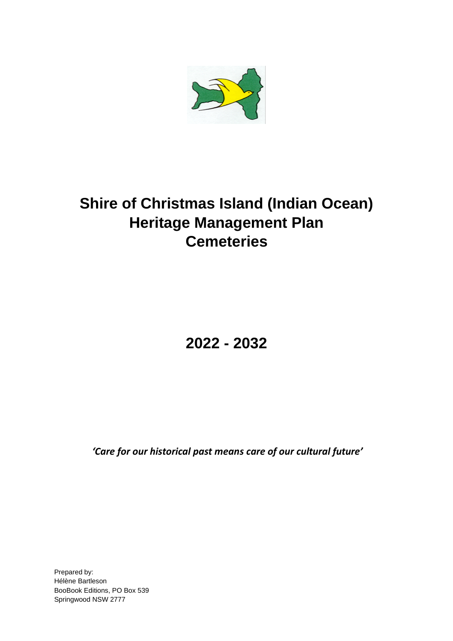

# **Shire of Christmas Island (Indian Ocean) Heritage Management Plan Cemeteries**

**2022 - 2032**

*'Care for our historical past means care of our cultural future'*

Prepared by: Hélène Bartleson BooBook Editions, PO Box 539 Springwood NSW 2777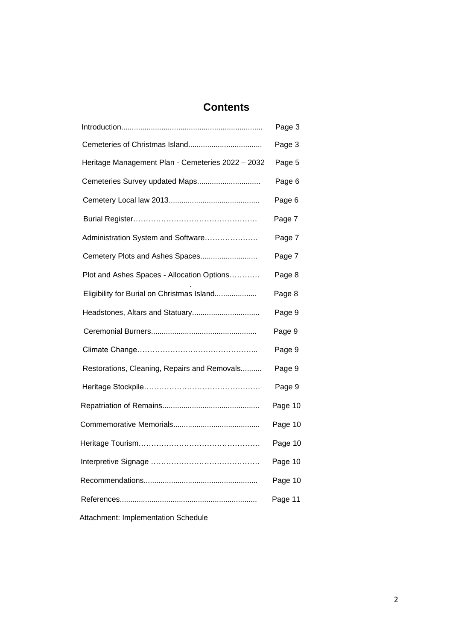# **Contents**

|                                                   | Page 3  |
|---------------------------------------------------|---------|
|                                                   | Page 3  |
| Heritage Management Plan - Cemeteries 2022 - 2032 | Page 5  |
| Cemeteries Survey updated Maps                    | Page 6  |
|                                                   | Page 6  |
|                                                   | Page 7  |
| Administration System and Software                | Page 7  |
| Cemetery Plots and Ashes Spaces                   | Page 7  |
| Plot and Ashes Spaces - Allocation Options        | Page 8  |
| Eligibility for Burial on Christmas Island        | Page 8  |
| Headstones, Altars and Statuary                   | Page 9  |
|                                                   | Page 9  |
|                                                   | Page 9  |
| Restorations, Cleaning, Repairs and Removals      | Page 9  |
|                                                   | Page 9  |
|                                                   | Page 10 |
|                                                   | Page 10 |
|                                                   | Page 10 |
|                                                   | Page 10 |
|                                                   | Page 10 |
|                                                   | Page 11 |
|                                                   |         |

Attachment: Implementation Schedule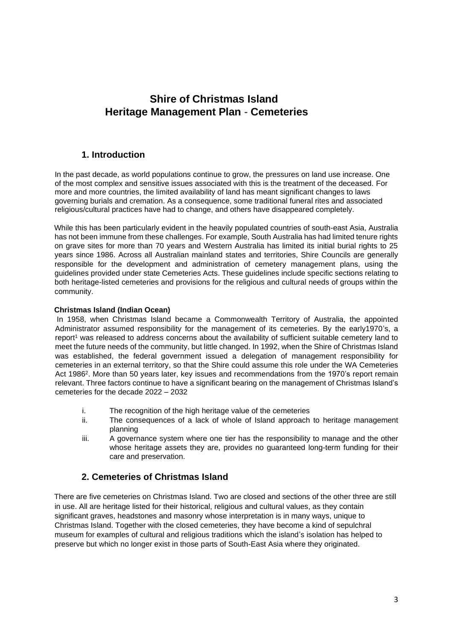# **Shire of Christmas Island Heritage Management Plan** - **Cemeteries**

# **1. Introduction**

In the past decade, as world populations continue to grow, the pressures on land use increase. One of the most complex and sensitive issues associated with this is the treatment of the deceased. For more and more countries, the limited availability of land has meant significant changes to laws governing burials and cremation. As a consequence, some traditional funeral rites and associated religious/cultural practices have had to change, and others have disappeared completely.

While this has been particularly evident in the heavily populated countries of south-east Asia, Australia has not been immune from these challenges. For example, South Australia has had limited tenure rights on grave sites for more than 70 years and Western Australia has limited its initial burial rights to 25 years since 1986. Across all Australian mainland states and territories, Shire Councils are generally responsible for the development and administration of cemetery management plans, using the guidelines provided under state Cemeteries Acts. These guidelines include specific sections relating to both heritage-listed cemeteries and provisions for the religious and cultural needs of groups within the community.

## **Christmas Island (Indian Ocean)**

In 1958, when Christmas Island became a Commonwealth Territory of Australia, the appointed Administrator assumed responsibility for the management of its cemeteries. By the early1970's, a report<sup>1</sup> was released to address concerns about the availability of sufficient suitable cemetery land to meet the future needs of the community, but little changed. In 1992, when the Shire of Christmas Island was established, the federal government issued a delegation of management responsibility for cemeteries in an external territory, so that the Shire could assume this role under the WA Cemeteries Act 1986<sup>2</sup>. More than 50 years later, key issues and recommendations from the 1970's report remain relevant. Three factors continue to have a significant bearing on the management of Christmas Island's cemeteries for the decade 2022 – 2032

- i. The recognition of the high heritage value of the cemeteries
- ii. The consequences of a lack of whole of Island approach to heritage management planning
- iii. A governance system where one tier has the responsibility to manage and the other whose heritage assets they are, provides no guaranteed long-term funding for their care and preservation.

# **2. Cemeteries of Christmas Island**

There are five cemeteries on Christmas Island. Two are closed and sections of the other three are still in use. All are heritage listed for their historical, religious and cultural values, as they contain significant graves, headstones and masonry whose interpretation is in many ways, unique to Christmas Island. Together with the closed cemeteries, they have become a kind of sepulchral museum for examples of cultural and religious traditions which the island's isolation has helped to preserve but which no longer exist in those parts of South-East Asia where they originated.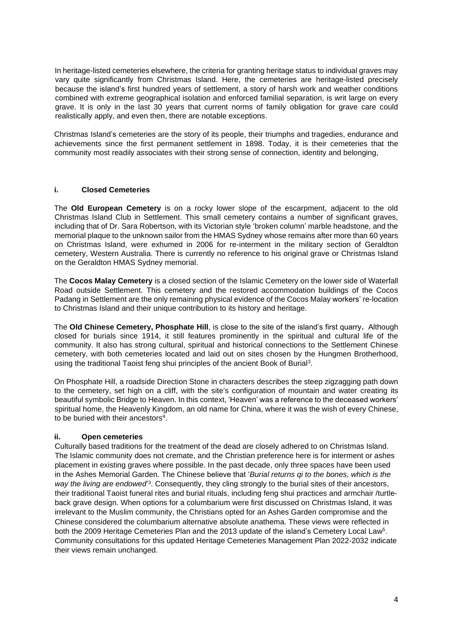In heritage-listed cemeteries elsewhere, the criteria for granting heritage status to individual graves may vary quite significantly from Christmas Island. Here, the cemeteries are heritage-listed precisely because the island's first hundred years of settlement, a story of harsh work and weather conditions combined with extreme geographical isolation and enforced familial separation, is writ large on every grave. It is only in the last 30 years that current norms of family obligation for grave care could realistically apply, and even then, there are notable exceptions.

Christmas Island's cemeteries are the story of its people, their triumphs and tragedies, endurance and achievements since the first permanent settlement in 1898. Today, it is their cemeteries that the community most readily associates with their strong sense of connection, identity and belonging,

## **i. Closed Cemeteries**

The **Old European Cemetery** is on a rocky lower slope of the escarpment, adjacent to the old Christmas Island Club in Settlement. This small cemetery contains a number of significant graves, including that of Dr. Sara Robertson, with its Victorian style 'broken column' marble headstone, and the memorial plaque to the unknown sailor from the HMAS Sydney whose remains after more than 60 years on Christmas Island, were exhumed in 2006 for re-interment in the military section of Geraldton cemetery, Western Australia. There is currently no reference to his original grave or Christmas Island on the Geraldton HMAS Sydney memorial.

The **Cocos Malay Cemetery** is a closed section of the Islamic Cemetery on the lower side of Waterfall Road outside Settlement. This cemetery and the restored accommodation buildings of the Cocos Padang in Settlement are the only remaining physical evidence of the Cocos Malay workers' re-location to Christmas Island and their unique contribution to its history and heritage.

The **Old Chinese Cemetery, Phosphate Hill**, is close to the site of the island's first quarry**.** Although closed for burials since 1914, it still features prominently in the spiritual and cultural life of the community. It also has strong cultural, spiritual and historical connections to the Settlement Chinese cemetery, with both cemeteries located and laid out on sites chosen by the Hungmen Brotherhood, using the traditional Taoist feng shui principles of the ancient Book of Burial<sup>3</sup>.

On Phosphate Hill, a roadside Direction Stone in characters describes the steep zigzagging path down to the cemetery, set high on a cliff, with the site's configuration of mountain and water creating its beautiful symbolic Bridge to Heaven. In this context, 'Heaven' was a reference to the deceased workers' spiritual home, the Heavenly Kingdom, an old name for China, where it was the wish of every Chinese, to be buried with their ancestors<sup>4</sup>.

#### **ii. Open cemeteries**

Culturally based traditions for the treatment of the dead are closely adhered to on Christmas Island. The Islamic community does not cremate, and the Christian preference here is for interment or ashes placement in existing graves where possible. In the past decade, only three spaces have been used in the Ashes Memorial Garden. The Chinese believe that '*Burial returns qi to the bones, which is the*  way the living are endowed<sup>3</sup>. Consequently, they cling strongly to the burial sites of their ancestors, their traditional Taoist funeral rites and burial rituals, including feng shui practices and armchair /turtleback grave design. When options for a columbarium were first discussed on Christmas Island, it was irrelevant to the Muslim community, the Christians opted for an Ashes Garden compromise and the Chinese considered the columbarium alternative absolute anathema. These views were reflected in both the 2009 Heritage Cemeteries Plan and the 2013 update of the island's Cemetery Local Law<sup>5</sup>. Community consultations for this updated Heritage Cemeteries Management Plan 2022-2032 indicate their views remain unchanged.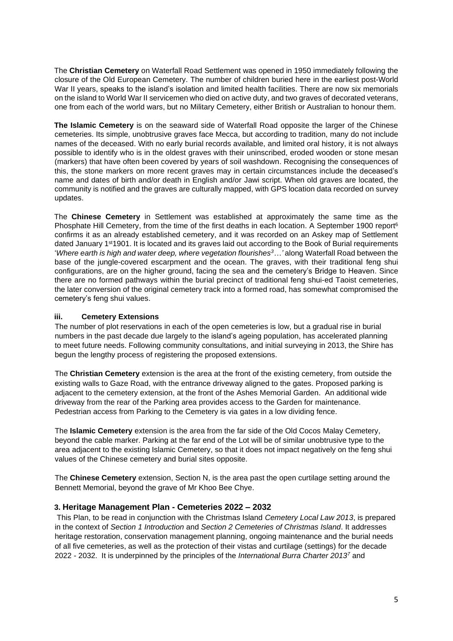The **Christian Cemetery** on Waterfall Road Settlement was opened in 1950 immediately following the closure of the Old European Cemetery. The number of children buried here in the earliest post-World War II years, speaks to the island's isolation and limited health facilities. There are now six memorials on the island to World War II servicemen who died on active duty, and two graves of decorated veterans, one from each of the world wars, but no Military Cemetery, either British or Australian to honour them.

**The Islamic Cemetery** is on the seaward side of Waterfall Road opposite the larger of the Chinese cemeteries. Its simple, unobtrusive graves face Mecca, but according to tradition, many do not include names of the deceased. With no early burial records available, and limited oral history, it is not always possible to identify who is in the oldest graves with their uninscribed, eroded wooden or stone mesan (markers) that have often been covered by years of soil washdown. Recognising the consequences of this, the stone markers on more recent graves may in certain circumstances include the deceased's name and dates of birth and/or death in English and/or Jawi script. When old graves are located, the community is notified and the graves are culturally mapped, with GPS location data recorded on survey updates.

The **Chinese Cemetery** in Settlement was established at approximately the same time as the Phosphate Hill Cemetery, from the time of the first deaths in each location. A September 1900 report<sup>6</sup> confirms it as an already established cemetery, and it was recorded on an Askey map of Settlement dated January 1st1901. It is located and its graves laid out according to the Book of Burial requirements '*Where earth is high and water deep, where vegetation flourishes<sup>3</sup>…'* along Waterfall Road between the base of the jungle-covered escarpment and the ocean. The graves, with their traditional feng shui configurations, are on the higher ground, facing the sea and the cemetery's Bridge to Heaven. Since there are no formed pathways within the burial precinct of traditional feng shui-ed Taoist cemeteries, the later conversion of the original cemetery track into a formed road, has somewhat compromised the cemetery's feng shui values.

## **iii. Cemetery Extensions**

The number of plot reservations in each of the open cemeteries is low, but a gradual rise in burial numbers in the past decade due largely to the island's ageing population, has accelerated planning to meet future needs. Following community consultations, and initial surveying in 2013, the Shire has begun the lengthy process of registering the proposed extensions.

The **Christian Cemetery** extension is the area at the front of the existing cemetery, from outside the existing walls to Gaze Road, with the entrance driveway aligned to the gates. Proposed parking is adjacent to the cemetery extension, at the front of the Ashes Memorial Garden. An additional wide driveway from the rear of the Parking area provides access to the Garden for maintenance. Pedestrian access from Parking to the Cemetery is via gates in a low dividing fence.

The **Islamic Cemetery** extension is the area from the far side of the Old Cocos Malay Cemetery, beyond the cable marker. Parking at the far end of the Lot will be of similar unobtrusive type to the area adjacent to the existing Islamic Cemetery, so that it does not impact negatively on the feng shui values of the Chinese cemetery and burial sites opposite.

The **Chinese Cemetery** extension, Section N, is the area past the open curtilage setting around the Bennett Memorial, beyond the grave of Mr Khoo Bee Chye.

# **3. Heritage Management Plan - Cemeteries 2022 – 2032**

This Plan, to be read in conjunction with the Christmas Island *Cemetery Local Law 2013*, is prepared in the context of *Section 1 Introduction* and *Section 2 Cemeteries of Christmas Island*. It addresses heritage restoration, conservation management planning, ongoing maintenance and the burial needs of all five cemeteries, as well as the protection of their vistas and curtilage (settings) for the decade 2022 - 2032. It is underpinned by the principles of the *International Burra Charter 2013<sup>7</sup>* and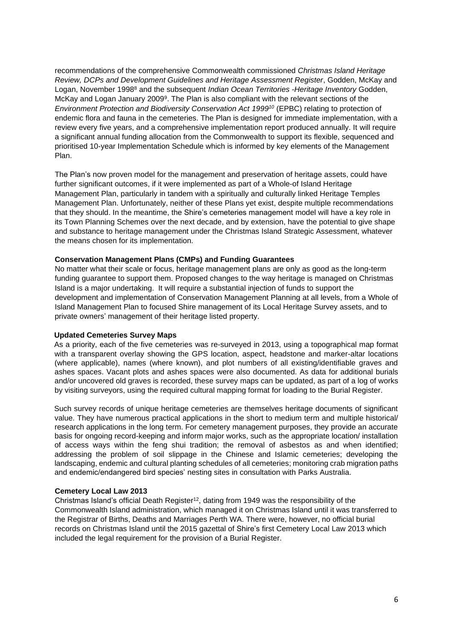recommendations of the comprehensive Commonwealth commissioned *Christmas Island Heritage Review, DCPs and Development Guidelines and Heritage Assessment Register*, Godden, McKay and Logan, November 1998<sup>8</sup> and the subsequent *Indian Ocean Territories -Heritage Inventory* Godden, McKay and Logan January 2009<sup>9</sup>. The Plan is also compliant with the relevant sections of the *Environment Protection and Biodiversity Conservation Act 1999<sup>10</sup>* (EPBC) relating to protection of endemic flora and fauna in the cemeteries. The Plan is designed for immediate implementation, with a review every five years, and a comprehensive implementation report produced annually. It will require a significant annual funding allocation from the Commonwealth to support its flexible, sequenced and prioritised 10-year Implementation Schedule which is informed by key elements of the Management Plan.

The Plan's now proven model for the management and preservation of heritage assets, could have further significant outcomes, if it were implemented as part of a Whole-of Island Heritage Management Plan, particularly in tandem with a spiritually and culturally linked Heritage Temples Management Plan. Unfortunately, neither of these Plans yet exist, despite multiple recommendations that they should. In the meantime, the Shire's cemeteries management model will have a key role in its Town Planning Schemes over the next decade, and by extension, have the potential to give shape and substance to heritage management under the Christmas Island Strategic Assessment, whatever the means chosen for its implementation.

#### **Conservation Management Plans (CMPs) and Funding Guarantees**

No matter what their scale or focus, heritage management plans are only as good as the long-term funding guarantee to support them. Proposed changes to the way heritage is managed on Christmas Island is a major undertaking. It will require a substantial injection of funds to support the development and implementation of Conservation Management Planning at all levels, from a Whole of Island Management Plan to focused Shire management of its Local Heritage Survey assets, and to private owners' management of their heritage listed property.

#### **Updated Cemeteries Survey Maps**

As a priority, each of the five cemeteries was re-surveyed in 2013, using a topographical map format with a transparent overlay showing the GPS location, aspect, headstone and marker-altar locations (where applicable), names (where known), and plot numbers of all existing/identifiable graves and ashes spaces. Vacant plots and ashes spaces were also documented. As data for additional burials and/or uncovered old graves is recorded, these survey maps can be updated, as part of a log of works by visiting surveyors, using the required cultural mapping format for loading to the Burial Register.

Such survey records of unique heritage cemeteries are themselves heritage documents of significant value. They have numerous practical applications in the short to medium term and multiple historical/ research applications in the long term. For cemetery management purposes, they provide an accurate basis for ongoing record-keeping and inform major works, such as the appropriate location/ installation of access ways within the feng shui tradition; the removal of asbestos as and when identified; addressing the problem of soil slippage in the Chinese and Islamic cemeteries; developing the landscaping, endemic and cultural planting schedules of all cemeteries; monitoring crab migration paths and endemic/endangered bird species' nesting sites in consultation with Parks Australia.

#### **Cemetery Local Law 2013**

Christmas Island's official Death Register<sup>12</sup>, dating from 1949 was the responsibility of the Commonwealth Island administration, which managed it on Christmas Island until it was transferred to the Registrar of Births, Deaths and Marriages Perth WA. There were, however, no official burial records on Christmas Island until the 2015 gazettal of Shire's first Cemetery Local Law 2013 which included the legal requirement for the provision of a Burial Register.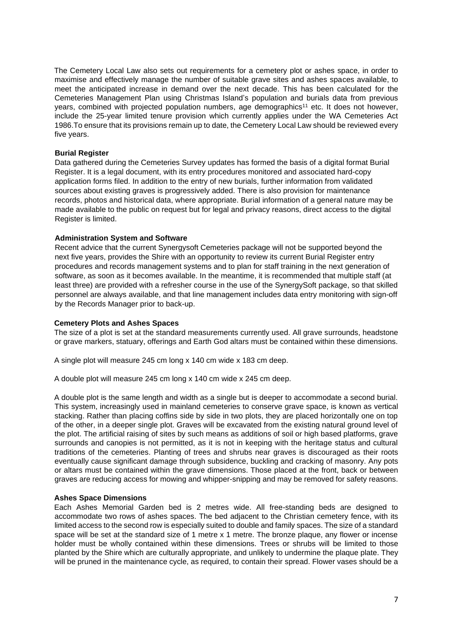The Cemetery Local Law also sets out requirements for a cemetery plot or ashes space, in order to maximise and effectively manage the number of suitable grave sites and ashes spaces available, to meet the anticipated increase in demand over the next decade. This has been calculated for the Cemeteries Management Plan using Christmas Island's population and burials data from previous years, combined with projected population numbers, age demographics<sup>11</sup> etc. It does not however, include the 25-year limited tenure provision which currently applies under the WA Cemeteries Act 1986.To ensure that its provisions remain up to date, the Cemetery Local Law should be reviewed every five years.

#### **Burial Register**

Data gathered during the Cemeteries Survey updates has formed the basis of a digital format Burial Register. It is a legal document, with its entry procedures monitored and associated hard-copy application forms filed. In addition to the entry of new burials, further information from validated sources about existing graves is progressively added. There is also provision for maintenance records, photos and historical data, where appropriate. Burial information of a general nature may be made available to the public on request but for legal and privacy reasons, direct access to the digital Register is limited.

#### **Administration System and Software**

Recent advice that the current Synergysoft Cemeteries package will not be supported beyond the next five years, provides the Shire with an opportunity to review its current Burial Register entry procedures and records management systems and to plan for staff training in the next generation of software, as soon as it becomes available. In the meantime, it is recommended that multiple staff (at least three) are provided with a refresher course in the use of the SynergySoft package, so that skilled personnel are always available, and that line management includes data entry monitoring with sign-off by the Records Manager prior to back-up.

#### **Cemetery Plots and Ashes Spaces**

The size of a plot is set at the standard measurements currently used. All grave surrounds, headstone or grave markers, statuary, offerings and Earth God altars must be contained within these dimensions.

A single plot will measure 245 cm long x 140 cm wide x 183 cm deep.

A double plot will measure 245 cm long x 140 cm wide x 245 cm deep.

A double plot is the same length and width as a single but is deeper to accommodate a second burial. This system, increasingly used in mainland cemeteries to conserve grave space, is known as vertical stacking. Rather than placing coffins side by side in two plots, they are placed horizontally one on top of the other, in a deeper single plot. Graves will be excavated from the existing natural ground level of the plot. The artificial raising of sites by such means as additions of soil or high based platforms, grave surrounds and canopies is not permitted, as it is not in keeping with the heritage status and cultural traditions of the cemeteries. Planting of trees and shrubs near graves is discouraged as their roots eventually cause significant damage through subsidence, buckling and cracking of masonry. Any pots or altars must be contained within the grave dimensions. Those placed at the front, back or between graves are reducing access for mowing and whipper-snipping and may be removed for safety reasons.

#### **Ashes Space Dimensions**

Each Ashes Memorial Garden bed is 2 metres wide. All free-standing beds are designed to accommodate two rows of ashes spaces. The bed adjacent to the Christian cemetery fence, with its limited access to the second row is especially suited to double and family spaces. The size of a standard space will be set at the standard size of 1 metre x 1 metre. The bronze plaque, any flower or incense holder must be wholly contained within these dimensions. Trees or shrubs will be limited to those planted by the Shire which are culturally appropriate, and unlikely to undermine the plaque plate. They will be pruned in the maintenance cycle, as required, to contain their spread. Flower vases should be a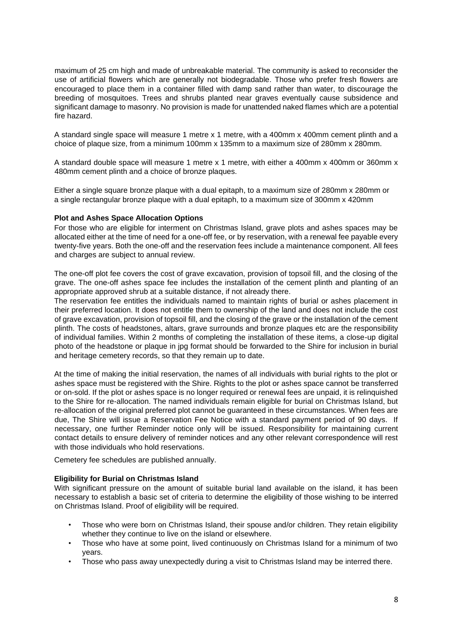maximum of 25 cm high and made of unbreakable material. The community is asked to reconsider the use of artificial flowers which are generally not biodegradable. Those who prefer fresh flowers are encouraged to place them in a container filled with damp sand rather than water, to discourage the breeding of mosquitoes. Trees and shrubs planted near graves eventually cause subsidence and significant damage to masonry. No provision is made for unattended naked flames which are a potential fire hazard.

A standard single space will measure 1 metre x 1 metre, with a 400mm x 400mm cement plinth and a choice of plaque size, from a minimum 100mm x 135mm to a maximum size of 280mm x 280mm.

A standard double space will measure 1 metre x 1 metre, with either a 400mm x 400mm or 360mm x 480mm cement plinth and a choice of bronze plaques.

Either a single square bronze plaque with a dual epitaph, to a maximum size of 280mm x 280mm or a single rectangular bronze plaque with a dual epitaph, to a maximum size of 300mm x 420mm

#### **Plot and Ashes Space Allocation Options**

For those who are eligible for interment on Christmas Island, grave plots and ashes spaces may be allocated either at the time of need for a one-off fee, or by reservation, with a renewal fee payable every twenty-five years. Both the one-off and the reservation fees include a maintenance component. All fees and charges are subject to annual review.

The one-off plot fee covers the cost of grave excavation, provision of topsoil fill, and the closing of the grave. The one-off ashes space fee includes the installation of the cement plinth and planting of an appropriate approved shrub at a suitable distance, if not already there.

The reservation fee entitles the individuals named to maintain rights of burial or ashes placement in their preferred location. It does not entitle them to ownership of the land and does not include the cost of grave excavation, provision of topsoil fill, and the closing of the grave or the installation of the cement plinth. The costs of headstones, altars, grave surrounds and bronze plaques etc are the responsibility of individual families. Within 2 months of completing the installation of these items, a close-up digital photo of the headstone or plaque in jpg format should be forwarded to the Shire for inclusion in burial and heritage cemetery records, so that they remain up to date.

At the time of making the initial reservation, the names of all individuals with burial rights to the plot or ashes space must be registered with the Shire. Rights to the plot or ashes space cannot be transferred or on-sold. If the plot or ashes space is no longer required or renewal fees are unpaid, it is relinquished to the Shire for re-allocation. The named individuals remain eligible for burial on Christmas Island, but re-allocation of the original preferred plot cannot be guaranteed in these circumstances. When fees are due, The Shire will issue a Reservation Fee Notice with a standard payment period of 90 days. If necessary, one further Reminder notice only will be issued. Responsibility for maintaining current contact details to ensure delivery of reminder notices and any other relevant correspondence will rest with those individuals who hold reservations.

Cemetery fee schedules are published annually.

#### **Eligibility for Burial on Christmas Island**

With significant pressure on the amount of suitable burial land available on the island, it has been necessary to establish a basic set of criteria to determine the eligibility of those wishing to be interred on Christmas Island. Proof of eligibility will be required.

- Those who were born on Christmas Island, their spouse and/or children. They retain eligibility whether they continue to live on the island or elsewhere.
- Those who have at some point, lived continuously on Christmas Island for a minimum of two years.
- Those who pass away unexpectedly during a visit to Christmas Island may be interred there.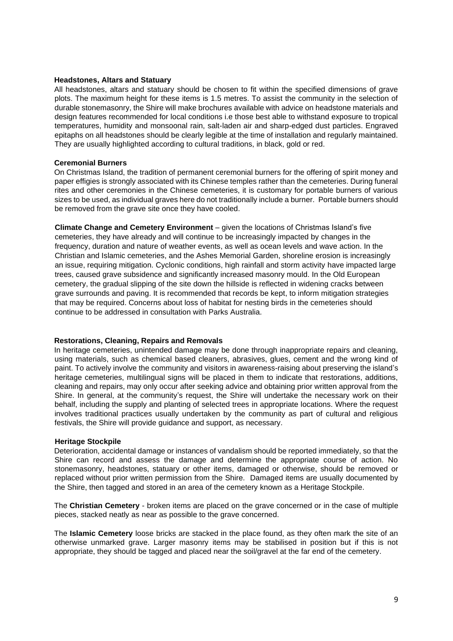#### **Headstones, Altars and Statuary**

All headstones, altars and statuary should be chosen to fit within the specified dimensions of grave plots. The maximum height for these items is 1.5 metres. To assist the community in the selection of durable stonemasonry, the Shire will make brochures available with advice on headstone materials and design features recommended for local conditions i.e those best able to withstand exposure to tropical temperatures, humidity and monsoonal rain, salt-laden air and sharp-edged dust particles. Engraved epitaphs on all headstones should be clearly legible at the time of installation and regularly maintained. They are usually highlighted according to cultural traditions, in black, gold or red.

#### **Ceremonial Burners**

On Christmas Island, the tradition of permanent ceremonial burners for the offering of spirit money and paper effigies is strongly associated with its Chinese temples rather than the cemeteries. During funeral rites and other ceremonies in the Chinese cemeteries, it is customary for portable burners of various sizes to be used, as individual graves here do not traditionally include a burner. Portable burners should be removed from the grave site once they have cooled.

**Climate Change and Cemetery Environment** – given the locations of Christmas Island's five cemeteries, they have already and will continue to be increasingly impacted by changes in the frequency, duration and nature of weather events, as well as ocean levels and wave action. In the Christian and Islamic cemeteries, and the Ashes Memorial Garden, shoreline erosion is increasingly an issue, requiring mitigation. Cyclonic conditions, high rainfall and storm activity have impacted large trees, caused grave subsidence and significantly increased masonry mould. In the Old European cemetery, the gradual slipping of the site down the hillside is reflected in widening cracks between grave surrounds and paving. It is recommended that records be kept, to inform mitigation strategies that may be required. Concerns about loss of habitat for nesting birds in the cemeteries should continue to be addressed in consultation with Parks Australia.

#### **Restorations, Cleaning, Repairs and Removals**

In heritage cemeteries, unintended damage may be done through inappropriate repairs and cleaning, using materials, such as chemical based cleaners, abrasives, glues, cement and the wrong kind of paint. To actively involve the community and visitors in awareness-raising about preserving the island's heritage cemeteries, multilingual signs will be placed in them to indicate that restorations, additions, cleaning and repairs, may only occur after seeking advice and obtaining prior written approval from the Shire. In general, at the community's request, the Shire will undertake the necessary work on their behalf, including the supply and planting of selected trees in appropriate locations. Where the request involves traditional practices usually undertaken by the community as part of cultural and religious festivals, the Shire will provide guidance and support, as necessary.

#### **Heritage Stockpile**

Deterioration, accidental damage or instances of vandalism should be reported immediately, so that the Shire can record and assess the damage and determine the appropriate course of action. No stonemasonry, headstones, statuary or other items, damaged or otherwise, should be removed or replaced without prior written permission from the Shire. Damaged items are usually documented by the Shire, then tagged and stored in an area of the cemetery known as a Heritage Stockpile.

The **Christian Cemetery** - broken items are placed on the grave concerned or in the case of multiple pieces, stacked neatly as near as possible to the grave concerned.

The **Islamic Cemetery** loose bricks are stacked in the place found, as they often mark the site of an otherwise unmarked grave. Larger masonry items may be stabilised in position but if this is not appropriate, they should be tagged and placed near the soil/gravel at the far end of the cemetery.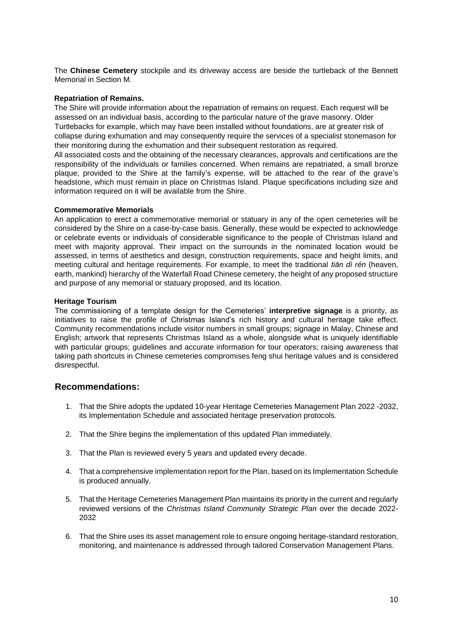The **Chinese Cemetery** stockpile and its driveway access are beside the turtleback of the Bennett Memorial in Section M.

#### **Repatriation of Remains.**

The Shire will provide information about the repatriation of remains on request. Each request will be assessed on an individual basis, according to the particular nature of the grave masonry. Older Turtlebacks for example, which may have been installed without foundations, are at greater risk of collapse during exhumation and may consequently require the services of a specialist stonemason for their monitoring during the exhumation and their subsequent restoration as required.

All associated costs and the obtaining of the necessary clearances, approvals and certifications are the responsibility of the individuals or families concerned. When remains are repatriated, a small bronze plaque, provided to the Shire at the family's expense, will be attached to the rear of the grave's headstone, which must remain in place on Christmas Island. Plaque specifications including size and information required on it will be available from the Shire.

#### **Commemorative Memorials**

An application to erect a commemorative memorial or statuary in any of the open cemeteries will be considered by the Shire on a case-by-case basis. Generally, these would be expected to acknowledge or celebrate events or individuals of considerable significance to the people of Christmas Island and meet with majority approval. Their impact on the surrounds in the nominated location would be assessed, in terms of aesthetics and design, construction requirements, space and height limits, and meeting cultural and heritage requirements. For example, to meet the traditional *tiān dì rén* (heaven, earth, mankind) hierarchy of the Waterfall Road Chinese cemetery, the height of any proposed structure and purpose of any memorial or statuary proposed, and its location.

#### **Heritage Tourism**

The commissioning of a template design for the Cemeteries' **interpretive signage** is a priority, as initiatives to raise the profile of Christmas Island's rich history and cultural heritage take effect. Community recommendations include visitor numbers in small groups; signage in Malay, Chinese and English; artwork that represents Christmas Island as a whole, alongside what is uniquely identifiable with particular groups; guidelines and accurate information for tour operators; raising awareness that taking path shortcuts in Chinese cemeteries compromises feng shui heritage values and is considered disrespectful.

# **Recommendations:**

- 1. That the Shire adopts the updated 10-year Heritage Cemeteries Management Plan 2022 -2032, its Implementation Schedule and associated heritage preservation protocols.
- 2. That the Shire begins the implementation of this updated Plan immediately.
- 3. That the Plan is reviewed every 5 years and updated every decade.
- 4. That a comprehensive implementation report for the Plan, based on its Implementation Schedule is produced annually.
- 5. That the Heritage Cemeteries Management Plan maintains its priority in the current and regularly reviewed versions of the *Christmas Island Community Strategic Plan* over the decade 2022- 2032
- 6. That the Shire uses its asset management role to ensure ongoing heritage-standard restoration, monitoring, and maintenance is addressed through tailored Conservation Management Plans.